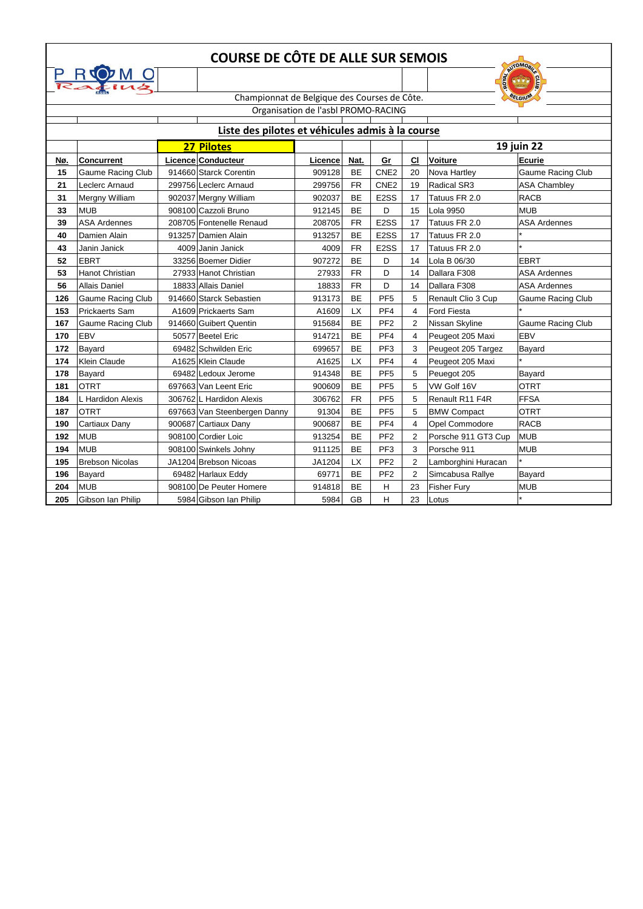|     | <b>COURSE DE CÔTE DE ALLE SUR SEMOIS</b><br><b>AUTOMOBIA</b> |  |                                              |         |           |                   |                         |                     |                          |  |  |  |  |
|-----|--------------------------------------------------------------|--|----------------------------------------------|---------|-----------|-------------------|-------------------------|---------------------|--------------------------|--|--|--|--|
|     | $P R Q M Q P Q U Q$                                          |  |                                              |         |           |                   |                         |                     |                          |  |  |  |  |
|     |                                                              |  | Championnat de Belgique des Courses de Côte. | GAND    |           |                   |                         |                     |                          |  |  |  |  |
|     |                                                              |  | BELGIUM                                      |         |           |                   |                         |                     |                          |  |  |  |  |
|     | Organisation de l'asbl PROMO-RACING                          |  |                                              |         |           |                   |                         |                     |                          |  |  |  |  |
|     | Liste des pilotes et véhicules admis à la course             |  |                                              |         |           |                   |                         |                     |                          |  |  |  |  |
|     |                                                              |  | <b>27 Pilotes</b>                            |         |           |                   | 19 juin 22              |                     |                          |  |  |  |  |
| Nø. | <b>Concurrent</b>                                            |  | Licence Conducteur                           | Licence | Nat.      | Gr                | C1                      | <b>Voiture</b>      | <b>Ecurie</b>            |  |  |  |  |
| 15  | <b>Gaume Racing Club</b>                                     |  | 914660 Starck Corentin                       | 909128  | BE        | CNE <sub>2</sub>  | 20                      | Nova Hartley        | <b>Gaume Racing Club</b> |  |  |  |  |
| 21  | Leclerc Arnaud                                               |  | 299756 Leclerc Arnaud                        | 299756  | <b>FR</b> | CNE <sub>2</sub>  | 19                      | <b>Radical SR3</b>  | <b>ASA Chambley</b>      |  |  |  |  |
| 31  | Mergny William                                               |  | 902037 Mergny William                        | 902037  | <b>BE</b> | E <sub>2</sub> SS | 17                      | Tatuus FR 2.0       | <b>RACB</b>              |  |  |  |  |
| 33  | <b>MUB</b>                                                   |  | 908100 Cazzoli Bruno                         | 912145  | <b>BE</b> | D                 | 15                      | <b>Lola 9950</b>    | <b>MUB</b>               |  |  |  |  |
| 39  | <b>ASA Ardennes</b>                                          |  | 208705 Fontenelle Renaud                     | 208705  | <b>FR</b> | E <sub>2</sub> SS | 17                      | Tatuus FR 2.0       | <b>ASA Ardennes</b>      |  |  |  |  |
| 40  | Damien Alain                                                 |  | 913257 Damien Alain                          | 913257  | <b>BE</b> | E <sub>2</sub> SS | 17                      | Tatuus FR 2.0       |                          |  |  |  |  |
| 43  | Janin Janick                                                 |  | 4009 Janin Janick                            | 4009    | <b>FR</b> | E <sub>2</sub> SS | 17                      | Tatuus FR 2.0       |                          |  |  |  |  |
| 52  | <b>EBRT</b>                                                  |  | 33256 Boemer Didier                          | 907272  | <b>BE</b> | D                 | 14                      | Lola B 06/30        | <b>EBRT</b>              |  |  |  |  |
| 53  | Hanot Christian                                              |  | 27933 Hanot Christian                        | 27933   | <b>FR</b> | D                 | 14                      | Dallara F308        | <b>ASA Ardennes</b>      |  |  |  |  |
| 56  | Allais Daniel                                                |  | 18833 Allais Daniel                          | 18833   | <b>FR</b> | D                 | 14                      | Dallara F308        | <b>ASA Ardennes</b>      |  |  |  |  |
| 126 | <b>Gaume Racing Club</b>                                     |  | 914660 Starck Sebastien                      | 913173  | <b>BE</b> | PF <sub>5</sub>   | 5                       | Renault Clio 3 Cup  | <b>Gaume Racing Club</b> |  |  |  |  |
| 153 | Prickaerts Sam                                               |  | A1609 Prickaerts Sam                         | A1609   | <b>LX</b> | PF4               | 4                       | <b>Ford Fiesta</b>  |                          |  |  |  |  |
| 167 | <b>Gaume Racing Club</b>                                     |  | 914660 Guibert Quentin                       | 915684  | <b>BE</b> | PF <sub>2</sub>   | $\overline{2}$          | Nissan Skyline      | Gaume Racing Club        |  |  |  |  |
| 170 | <b>EBV</b>                                                   |  | 50577 Beetel Eric                            | 914721  | <b>BE</b> | PF <sub>4</sub>   | 4                       | Peugeot 205 Maxi    | <b>EBV</b>               |  |  |  |  |
| 172 | Bayard                                                       |  | 69482 Schwilden Eric                         | 699657  | BE        | PF <sub>3</sub>   | 3                       | Peugeot 205 Targez  | Bayard                   |  |  |  |  |
| 174 | <b>Klein Claude</b>                                          |  | A1625 Klein Claude                           | A1625   | <b>LX</b> | PF <sub>4</sub>   | 4                       | Peugeot 205 Maxi    |                          |  |  |  |  |
| 178 | Bayard                                                       |  | 69482 Ledoux Jerome                          | 914348  | <b>BE</b> | PF <sub>5</sub>   | 5                       | Peuegot 205         | Bayard                   |  |  |  |  |
| 181 | <b>OTRT</b>                                                  |  | 697663 Van Leent Eric                        | 900609  | <b>BE</b> | PF <sub>5</sub>   | 5                       | VW Golf 16V         | <b>OTRT</b>              |  |  |  |  |
| 184 | L Hardidon Alexis                                            |  | 306762 L Hardidon Alexis                     | 306762  | <b>FR</b> | PF <sub>5</sub>   | 5                       | Renault R11 F4R     | <b>FFSA</b>              |  |  |  |  |
| 187 | <b>OTRT</b>                                                  |  | 697663 Van Steenbergen Danny                 | 91304   | BE        | PF <sub>5</sub>   | 5                       | <b>BMW Compact</b>  | <b>OTRT</b>              |  |  |  |  |
| 190 | Cartiaux Dany                                                |  | 900687 Cartiaux Dany                         | 900687  | BE        | PF4               | 4                       | Opel Commodore      | <b>RACB</b>              |  |  |  |  |
| 192 | MUB                                                          |  | 908100 Cordier Loic                          | 913254  | <b>BE</b> | PF <sub>2</sub>   | 2                       | Porsche 911 GT3 Cup | <b>MUB</b>               |  |  |  |  |
| 194 | MUB                                                          |  | 908100 Swinkels Johny                        | 911125  | BE        | PF <sub>3</sub>   | 3                       | Porsche 911         | <b>MUB</b>               |  |  |  |  |
| 195 | <b>Brebson Nicolas</b>                                       |  | JA1204 Brebson Nicoas                        | JA1204  | <b>LX</b> | PF <sub>2</sub>   | $\overline{\mathbf{c}}$ | Lamborghini Huracan |                          |  |  |  |  |
| 196 | Bayard                                                       |  | 69482 Harlaux Eddy                           | 69771   | BE        | PF <sub>2</sub>   | $\overline{2}$          | Simcabusa Rallye    | Bayard                   |  |  |  |  |
| 204 | <b>MUB</b>                                                   |  | 908100 De Peuter Homere                      | 914818  | <b>BE</b> | н                 | 23                      | <b>Fisher Fury</b>  | <b>MUB</b>               |  |  |  |  |
| 205 | Gibson Ian Philip                                            |  | 5984 Gibson Ian Philip                       | 5984    | GB        | н                 | 23                      | Lotus               |                          |  |  |  |  |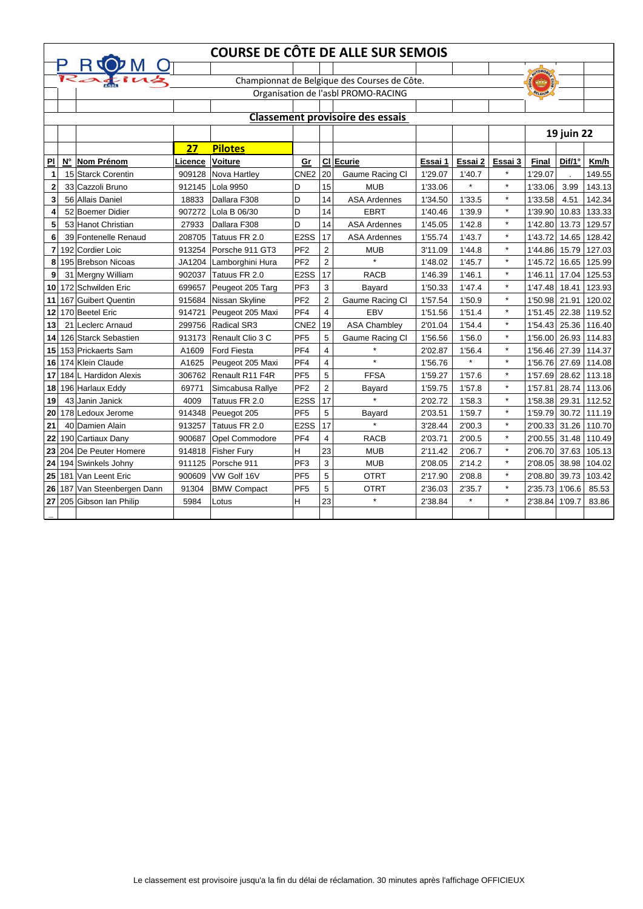|                          | <b>COURSE DE CÔTE DE ALLE SUR SEMOIS</b> |                                              |         |                       |                   |                |                                         |         |         |         |                 |            |                      |
|--------------------------|------------------------------------------|----------------------------------------------|---------|-----------------------|-------------------|----------------|-----------------------------------------|---------|---------|---------|-----------------|------------|----------------------|
|                          |                                          | P ROOM U                                     |         |                       |                   |                |                                         |         |         |         | <b>AUTOMORA</b> |            |                      |
|                          |                                          | Championnat de Belgique des Courses de Côte. |         |                       |                   |                |                                         |         |         |         |                 |            |                      |
|                          |                                          | Organisation de l'asbl PROMO-RACING          |         |                       |                   |                |                                         |         |         | BELGIUM |                 |            |                      |
|                          |                                          |                                              |         |                       |                   |                |                                         |         |         |         |                 |            |                      |
|                          |                                          |                                              |         |                       |                   |                | <b>Classement provisoire des essais</b> |         |         |         |                 |            |                      |
|                          |                                          |                                              |         |                       |                   |                |                                         |         |         |         |                 | 19 juin 22 |                      |
|                          |                                          |                                              | 27      | <b>Pilotes</b>        |                   |                |                                         |         |         |         |                 |            |                      |
| $\overline{\mathsf{PL}}$ | $\mathsf{N}^\circ$                       | <b>Nom Prénom</b>                            | Licence | <b>Voiture</b>        | Gr                |                | CI Ecurie                               | Essai 1 | Essai 2 | Essai 3 | <b>Final</b>    | Dif/1°     | Km/h                 |
| 1                        |                                          | 15 Starck Corentin                           | 909128  | Nova Hartley          | CNE <sub>2</sub>  | 20             | Gaume Racing Cl                         | 1'29.07 | 1'40.7  | $\star$ | 1'29.07         |            | 149.55               |
| $\mathbf{2}$             |                                          | 33 Cazzoli Bruno                             | 912145  | Lola 9950             | D                 | 15             | <b>MUB</b>                              | 1'33.06 |         | $\star$ | 1'33.06         | 3.99       | 143.13               |
| 3                        |                                          | 56 Allais Daniel                             | 18833   | Dallara F308          | D                 | 14             | <b>ASA Ardennes</b>                     | 1'34.50 | 1'33.5  | $\star$ | 1'33.58         | 4.51       | 142.34               |
| 4                        |                                          | 52 Boemer Didier                             | 907272  | Lola B 06/30          | D                 | 14             | <b>EBRT</b>                             | 1'40.46 | 1'39.9  | $\star$ | 1'39.90         | 10.83      | 133.33               |
| 5                        |                                          | 53 Hanot Christian                           | 27933   | Dallara F308          | D                 | 14             | <b>ASA Ardennes</b>                     | 1'45.05 | 1'42.8  | $\star$ | 1'42.80         | 13.73      | 129.57               |
| 6                        |                                          | 39 Fontenelle Renaud                         | 208705  | Tatuus FR 2.0         | E <sub>2</sub> SS | 17             | <b>ASA Ardennes</b>                     | 1'55.74 | 1'43.7  | $\star$ | 1'43.72         | 14.65      | 128.42               |
| 7                        |                                          | 192 Cordier Loic                             | 913254  | Porsche 911 GT3       | PF <sub>2</sub>   | 2              | <b>MUB</b>                              | 3'11.09 | 1'44.8  | $\star$ | 1'44.86         | 15.79      | 127.03               |
| 8                        |                                          | 195 Brebson Nicoas                           | JA1204  | Lamborghini Hura      | PF <sub>2</sub>   | $\overline{2}$ | $\star$                                 | 1'48.02 | 1'45.7  | $\star$ | 1'45.72         | 16.65      | 125.99               |
| 9                        |                                          | 31 Mergny William                            | 902037  | Tatuus FR 2.0         | E <sub>2</sub> SS | 17             | <b>RACB</b>                             | 1'46.39 | 1'46.1  | $\star$ | 1'46.11         | 17.04      | 125.53               |
| 10                       |                                          | 172 Schwilden Eric                           | 699657  | Peugeot 205 Targ      | PF <sub>3</sub>   | 3              | Bayard                                  | 1'50.33 | 1'47.4  | $\star$ | 1'47.48         | 18.41      | 123.93               |
| 11                       |                                          | 167 Guibert Quentin                          | 915684  | Nissan Skyline        | PF <sub>2</sub>   | 2              | Gaume Racing Cl                         | 1'57.54 | 1'50.9  | $\star$ | 1'50.98         | 21.91      | 120.02               |
| 12                       |                                          | 170 Beetel Eric                              | 914721  | Peugeot 205 Maxi      | PF4               | 4              | <b>EBV</b>                              | 1'51.56 | 1'51.4  | $\star$ | 1'51.45         | 22.38      | 119.52               |
| 13                       |                                          | 21 Leclerc Arnaud                            | 299756  | <b>Radical SR3</b>    | CNE <sub>2</sub>  | 19             | <b>ASA Chambley</b>                     | 2'01.04 | 1'54.4  | $\star$ | 1'54.43         | 25.36      | 116.40               |
| 14                       |                                          | 126 Starck Sebastien                         | 913173  | Renault Clio 3 C      | PF <sub>5</sub>   | 5              | Gaume Racing Cl                         | 1'56.56 | 1'56.0  | $\star$ | 1'56.00         | 26.93      | 114.83               |
| 15                       |                                          | 153 Prickaerts Sam                           | A1609   | <b>Ford Fiesta</b>    | PF4               | 4              |                                         | 2'02.87 | 1'56.4  | $\star$ | 1'56.46 27.39   |            | 114.37               |
| 16                       |                                          | 174 Klein Claude                             | A1625   | Peugeot 205 Maxi      | PF4               | 4              | $\star$                                 | 1'56.76 | $\star$ | $\star$ | 1'56.76 27.69   |            | 114.08               |
| 17                       |                                          | 184 L Hardidon Alexis                        | 306762  | Renault R11 F4R       | PF <sub>5</sub>   | 5              | <b>FFSA</b>                             | 1'59.27 | 1'57.6  | $\star$ | 1'57.69         | 28.62      | 113.18               |
| 18                       |                                          | 196 Harlaux Eddy                             | 69771   | Simcabusa Rallye      | PF <sub>2</sub>   | 2              | Bayard                                  | 1'59.75 | 1'57.8  | $\star$ | 1'57.81         | 28.74      | 113.06               |
| 19                       |                                          | 43 Janin Janick                              | 4009    | Tatuus FR 2.0         | E <sub>2</sub> SS | 17             | $\star$                                 | 2'02.72 | 1'58.3  | $\star$ | 1'58.38         | 29.31      | 112.52               |
| 20 <sub>1</sub>          |                                          | 178 Ledoux Jerome                            |         | 914348 Peuegot 205    | PF <sub>5</sub>   | 5              | <b>Bayard</b>                           | 2'03.51 | 1'59.7  |         |                 |            | 1'59.79 30.72 111.19 |
| 21                       |                                          | 40 Damien Alain                              | 913257  | Tatuus FR 2.0         | E <sub>2</sub> SS | 17             | $\star$                                 | 3'28.44 | 2'00.3  | $\star$ |                 |            | 2'00.33 31.26 110.70 |
| 22                       |                                          | 190 Cartiaux Dany                            | 900687  | <b>Opel Commodore</b> | PF <sub>4</sub>   | 4              | <b>RACB</b>                             | 2'03.71 | 2'00.5  | $\star$ |                 |            | 2'00.55 31.48 110.49 |
|                          |                                          | 23 204 De Peuter Homere                      |         | 914818   Fisher Fury  | H                 | 23             | <b>MUB</b>                              | 2'11.42 | 2'06.7  | $\star$ |                 |            | 2'06.70 37.63 105.13 |
|                          |                                          | 24 194 Swinkels Johny                        |         | 911125 Porsche 911    | PF3               | 3              | <b>MUB</b>                              | 2'08.05 | 2'14.2  | $\star$ | 2'08.05 38.98   |            | 104.02               |
|                          |                                          | 25 181 Van Leent Eric                        | 900609  | VW Golf 16V           | PF <sub>5</sub>   | 5              | <b>OTRT</b>                             | 2'17.90 | 2'08.8  | $\star$ | 2'08.80 39.73   |            | 103.42               |
|                          |                                          | 26 187 Van Steenbergen Dann                  | 91304   | <b>BMW Compact</b>    | PF <sub>5</sub>   | 5              | <b>OTRT</b>                             | 2'36.03 | 2'35.7  | $\star$ | 2'35.73 1'06.6  |            | 85.53                |
|                          |                                          | 27 205 Gibson Ian Philip                     | 5984    | Lotus                 | H                 | 23             | $\star$                                 | 2'38.84 | $\star$ | $\star$ | 2'38.84 1'09.7  |            | 83.86                |
|                          |                                          |                                              |         |                       |                   |                |                                         |         |         |         |                 |            |                      |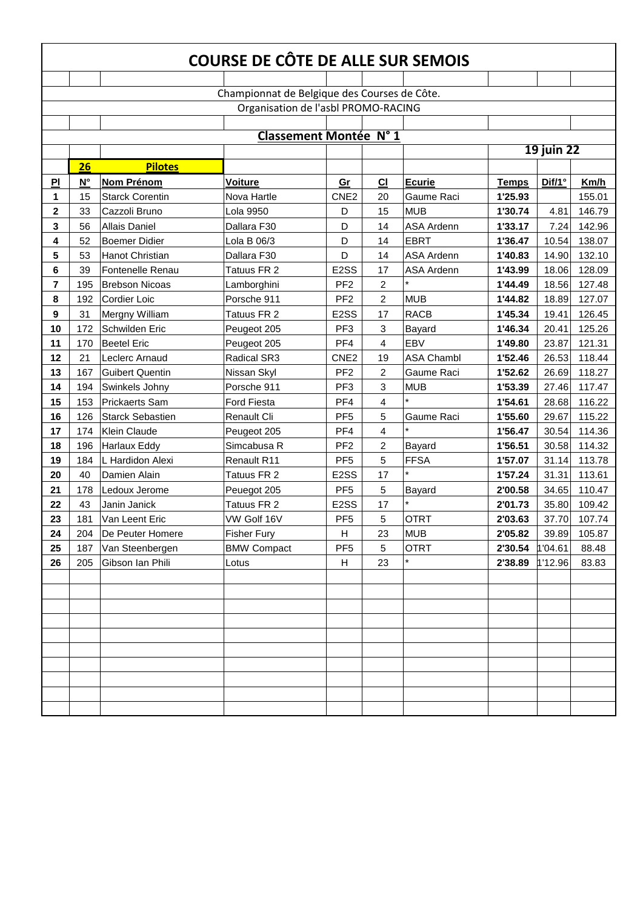| COURSE DE CÔTE DE ALLE SUR SEMOIS            |                    |                         |                                     |                   |                |                   |              |                   |        |  |  |
|----------------------------------------------|--------------------|-------------------------|-------------------------------------|-------------------|----------------|-------------------|--------------|-------------------|--------|--|--|
|                                              |                    |                         |                                     |                   |                |                   |              |                   |        |  |  |
| Championnat de Belgique des Courses de Côte. |                    |                         |                                     |                   |                |                   |              |                   |        |  |  |
|                                              |                    |                         | Organisation de l'asbl PROMO-RACING |                   |                |                   |              |                   |        |  |  |
|                                              |                    |                         |                                     |                   |                |                   |              |                   |        |  |  |
|                                              |                    |                         | Classement Montée N° 1              |                   |                |                   |              |                   |        |  |  |
|                                              |                    |                         |                                     |                   |                |                   |              | <b>19 juin 22</b> |        |  |  |
|                                              | <b>26</b>          | <b>Pilotes</b>          |                                     |                   |                |                   |              |                   |        |  |  |
| PI                                           | $\mathsf{N}^\circ$ | <b>Nom Prénom</b>       | <b>Voiture</b>                      | Gr                | CI             | <b>Ecurie</b>     | <b>Temps</b> | Dif/1°            | Km/h   |  |  |
| 1                                            | 15                 | <b>Starck Corentin</b>  | Nova Hartle                         | CNE <sub>2</sub>  | 20             | Gaume Raci        | 1'25.93      |                   | 155.01 |  |  |
| $\overline{\mathbf{2}}$                      | 33                 | Cazzoli Bruno           | Lola 9950                           | D                 | 15             | <b>MUB</b>        | 1'30.74      | 4.81              | 146.79 |  |  |
| 3                                            | 56                 | <b>Allais Daniel</b>    | Dallara F30                         | D                 | 14             | <b>ASA Ardenn</b> | 1'33.17      | 7.24              | 142.96 |  |  |
| 4                                            | 52                 | <b>Boemer Didier</b>    | Lola B 06/3                         | D                 | 14             | <b>EBRT</b>       | 1'36.47      | 10.54             | 138.07 |  |  |
| 5                                            | 53                 | Hanot Christian         | Dallara F30                         | D                 | 14             | <b>ASA Ardenn</b> | 1'40.83      | 14.90             | 132.10 |  |  |
| 6                                            | 39                 | Fontenelle Renau        | Tatuus FR 2                         | E <sub>2</sub> SS | 17             | <b>ASA Ardenn</b> | 1'43.99      | 18.06             | 128.09 |  |  |
| 7                                            | 195                | <b>Brebson Nicoas</b>   | Lamborghini                         | PF <sub>2</sub>   | $\overline{2}$ |                   | 1'44.49      | 18.56             | 127.48 |  |  |
| 8                                            | 192                | <b>Cordier Loic</b>     | Porsche 911                         | PF <sub>2</sub>   | $\overline{2}$ | <b>MUB</b>        | 1'44.82      | 18.89             | 127.07 |  |  |
| 9                                            | 31                 | Mergny William          | Tatuus FR 2                         | E <sub>2</sub> SS | 17             | <b>RACB</b>       | 1'45.34      | 19.41             | 126.45 |  |  |
| 10                                           | 172                | Schwilden Eric          | Peugeot 205                         | PF <sub>3</sub>   | 3              | Bayard            | 1'46.34      | 20.41             | 125.26 |  |  |
| 11                                           | 170                | <b>Beetel Eric</b>      | Peugeot 205                         | PF4               | $\overline{4}$ | <b>EBV</b>        | 1'49.80      | 23.87             | 121.31 |  |  |
| 12                                           | 21                 | Leclerc Arnaud          | Radical SR3                         | CNE <sub>2</sub>  | 19             | <b>ASA Chambl</b> | 1'52.46      | 26.53             | 118.44 |  |  |
| 13                                           | 167                | <b>Guibert Quentin</b>  | Nissan Skyl                         | PF <sub>2</sub>   | $\overline{2}$ | Gaume Raci        | 1'52.62      | 26.69             | 118.27 |  |  |
| 14                                           | 194                | Swinkels Johny          | Porsche 911                         | PF <sub>3</sub>   | 3              | <b>MUB</b>        | 1'53.39      | 27.46             | 117.47 |  |  |
| 15                                           | 153                | <b>Prickaerts Sam</b>   | Ford Fiesta                         | PF4               | 4              |                   | 1'54.61      | 28.68             | 116.22 |  |  |
| 16                                           | 126                | <b>Starck Sebastien</b> | Renault Cli                         | PF <sub>5</sub>   | 5              | Gaume Raci        | 1'55.60      | 29.67             | 115.22 |  |  |
| 17                                           | 174                | <b>Klein Claude</b>     | Peugeot 205                         | PF4               | 4              |                   | 1'56.47      | 30.54             | 114.36 |  |  |
| 18                                           | 196                | <b>Harlaux Eddy</b>     | Simcabusa R                         | PF <sub>2</sub>   | $\overline{2}$ | Bayard            | 1'56.51      | 30.58             | 114.32 |  |  |
| 19                                           | 184                | L Hardidon Alexi        | Renault R11                         | PF <sub>5</sub>   | 5              | <b>FFSA</b>       | 1'57.07      | 31.14             | 113.78 |  |  |
| 20                                           | 40                 | Damien Alain            | Tatuus FR 2                         | E <sub>2</sub> SS | 17             |                   | 1'57.24      | 31.31             | 113.61 |  |  |
| 21                                           | 178                | Ledoux Jerome           | Peuegot 205                         | PF <sub>5</sub>   | 5              | Bayard            | 2'00.58      | 34.65             | 110.47 |  |  |
| 22                                           | 43                 | Janin Janick            | Tatuus FR 2                         | E <sub>2</sub> SS | 17             |                   | 2'01.73      | 35.80             | 109.42 |  |  |
| 23                                           | 181                | Van Leent Eric          | VW Golf 16V                         | PF <sub>5</sub>   | 5              | <b>OTRT</b>       | 2'03.63      | 37.70             | 107.74 |  |  |
| 24                                           | 204                | De Peuter Homere        | <b>Fisher Fury</b>                  | H                 | 23             | <b>MUB</b>        | 2'05.82      | 39.89             | 105.87 |  |  |
| 25                                           | 187                | Van Steenbergen         | <b>BMW Compact</b>                  | PF <sub>5</sub>   | 5              | <b>OTRT</b>       | 2'30.54      | 1'04.61           | 88.48  |  |  |
| 26                                           | 205                | Gibson Ian Phili        | Lotus                               | H                 | 23             |                   | 2'38.89      | 1'12.96           | 83.83  |  |  |
|                                              |                    |                         |                                     |                   |                |                   |              |                   |        |  |  |
|                                              |                    |                         |                                     |                   |                |                   |              |                   |        |  |  |
|                                              |                    |                         |                                     |                   |                |                   |              |                   |        |  |  |
|                                              |                    |                         |                                     |                   |                |                   |              |                   |        |  |  |
|                                              |                    |                         |                                     |                   |                |                   |              |                   |        |  |  |
|                                              |                    |                         |                                     |                   |                |                   |              |                   |        |  |  |
|                                              |                    |                         |                                     |                   |                |                   |              |                   |        |  |  |
|                                              |                    |                         |                                     |                   |                |                   |              |                   |        |  |  |
|                                              |                    |                         |                                     |                   |                |                   |              |                   |        |  |  |
|                                              |                    |                         |                                     |                   |                |                   |              |                   |        |  |  |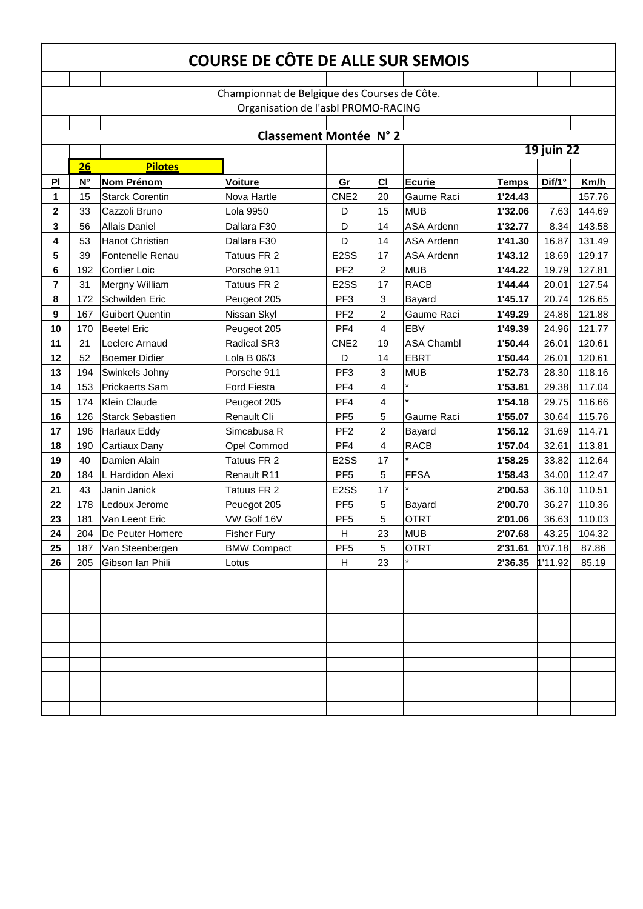| COURSE DE CÔTE DE ALLE SUR SEMOIS            |             |                         |                                     |                   |                |                   |              |                   |        |  |  |
|----------------------------------------------|-------------|-------------------------|-------------------------------------|-------------------|----------------|-------------------|--------------|-------------------|--------|--|--|
|                                              |             |                         |                                     |                   |                |                   |              |                   |        |  |  |
| Championnat de Belgique des Courses de Côte. |             |                         |                                     |                   |                |                   |              |                   |        |  |  |
|                                              |             |                         | Organisation de l'asbl PROMO-RACING |                   |                |                   |              |                   |        |  |  |
|                                              |             |                         |                                     |                   |                |                   |              |                   |        |  |  |
|                                              |             |                         | <b>Classement Montée N° 2</b>       |                   |                |                   |              |                   |        |  |  |
|                                              |             |                         |                                     |                   |                |                   |              | <b>19 juin 22</b> |        |  |  |
|                                              | 26          | <b>Pilotes</b>          |                                     |                   |                |                   |              |                   |        |  |  |
| PI                                           | $N^{\circ}$ | <b>Nom Prénom</b>       | <b>Voiture</b>                      | Gr                | <b>CI</b>      | <b>Ecurie</b>     | <b>Temps</b> | Dif/1°            | Km/h   |  |  |
| 1                                            | 15          | <b>Starck Corentin</b>  | Nova Hartle                         | CNE <sub>2</sub>  | 20             | Gaume Raci        | 1'24.43      |                   | 157.76 |  |  |
| 2                                            | 33          | Cazzoli Bruno           | Lola 9950                           | D                 | 15             | <b>MUB</b>        | 1'32.06      | 7.63              | 144.69 |  |  |
| 3                                            | 56          | <b>Allais Daniel</b>    | Dallara F30                         | D                 | 14             | <b>ASA Ardenn</b> | 1'32.77      | 8.34              | 143.58 |  |  |
| 4                                            | 53          | Hanot Christian         | Dallara F30                         | D                 | 14             | <b>ASA Ardenn</b> | 1'41.30      | 16.87             | 131.49 |  |  |
| 5                                            | 39          | Fontenelle Renau        | Tatuus FR 2                         | E <sub>2</sub> SS | 17             | <b>ASA Ardenn</b> | 1'43.12      | 18.69             | 129.17 |  |  |
| 6                                            | 192         | <b>Cordier Loic</b>     | Porsche 911                         | PF <sub>2</sub>   | $\overline{2}$ | <b>MUB</b>        | 1'44.22      | 19.79             | 127.81 |  |  |
| 7                                            | 31          | Mergny William          | Tatuus FR 2                         | E <sub>2</sub> SS | 17             | <b>RACB</b>       | 1'44.44      | 20.01             | 127.54 |  |  |
| 8                                            | 172         | Schwilden Eric          | Peugeot 205                         | PF <sub>3</sub>   | 3              | Bayard            | 1'45.17      | 20.74             | 126.65 |  |  |
| 9                                            | 167         | <b>Guibert Quentin</b>  | Nissan Skyl                         | PF <sub>2</sub>   | $\overline{2}$ | Gaume Raci        | 1'49.29      | 24.86             | 121.88 |  |  |
| 10                                           | 170         | <b>Beetel Eric</b>      | Peugeot 205                         | PF4               | 4              | <b>EBV</b>        | 1'49.39      | 24.96             | 121.77 |  |  |
| 11                                           | 21          | Leclerc Arnaud          | Radical SR3                         | CNE <sub>2</sub>  | 19             | <b>ASA Chambl</b> | 1'50.44      | 26.01             | 120.61 |  |  |
| 12                                           | 52          | <b>Boemer Didier</b>    | Lola B 06/3                         | D                 | 14             | <b>EBRT</b>       | 1'50.44      | 26.01             | 120.61 |  |  |
| 13                                           | 194         | Swinkels Johny          | Porsche 911                         | PF <sub>3</sub>   | 3              | <b>MUB</b>        | 1'52.73      | 28.30             | 118.16 |  |  |
| 14                                           | 153         | <b>Prickaerts Sam</b>   | <b>Ford Fiesta</b>                  | PF <sub>4</sub>   | 4              |                   | 1'53.81      | 29.38             | 117.04 |  |  |
| 15                                           | 174         | <b>Klein Claude</b>     | Peugeot 205                         | PF4               | 4              |                   | 1'54.18      | 29.75             | 116.66 |  |  |
| 16                                           | 126         | <b>Starck Sebastien</b> | Renault Cli                         | PF <sub>5</sub>   | 5              | Gaume Raci        | 1'55.07      | 30.64             | 115.76 |  |  |
| 17                                           | 196         | Harlaux Eddy            | Simcabusa R                         | PF <sub>2</sub>   | $\overline{2}$ | Bayard            | 1'56.12      | 31.69             | 114.71 |  |  |
| 18                                           | 190         | <b>Cartiaux Dany</b>    | <b>Opel Commod</b>                  | PF4               | 4              | <b>RACB</b>       | 1'57.04      | 32.61             | 113.81 |  |  |
| 19                                           | 40          | Damien Alain            | Tatuus FR 2                         | E <sub>2</sub> SS | 17             |                   | 1'58.25      | 33.82             | 112.64 |  |  |
| 20                                           | 184         | L Hardidon Alexi        | Renault R11                         | PF <sub>5</sub>   | 5              | <b>FFSA</b>       | 1'58.43      | 34.00             | 112.47 |  |  |
| 21                                           | 43          | Janin Janick            | Tatuus FR 2                         | E <sub>2</sub> SS | 17             | $\star$           | 2'00.53      | 36.10             | 110.51 |  |  |
| 22                                           | 178         | Ledoux Jerome           | Peuegot 205                         | PF <sub>5</sub>   | 5              | Bayard            | 2'00.70      | 36.27             | 110.36 |  |  |
| 23                                           | 181         | Van Leent Eric          | VW Golf 16V                         | PF <sub>5</sub>   | 5              | <b>OTRT</b>       | 2'01.06      | 36.63             | 110.03 |  |  |
| 24                                           | 204         | De Peuter Homere        | <b>Fisher Fury</b>                  | H                 | 23             | <b>MUB</b>        | 2'07.68      | 43.25             | 104.32 |  |  |
| 25                                           | 187         | Van Steenbergen         | <b>BMW Compact</b>                  | PF <sub>5</sub>   | 5              | <b>OTRT</b>       | 2'31.61      | 1'07.18           | 87.86  |  |  |
| 26                                           | 205         | Gibson Ian Phili        | Lotus                               | H                 | 23             |                   | 2'36.35      | 1'11.92           | 85.19  |  |  |
|                                              |             |                         |                                     |                   |                |                   |              |                   |        |  |  |
|                                              |             |                         |                                     |                   |                |                   |              |                   |        |  |  |
|                                              |             |                         |                                     |                   |                |                   |              |                   |        |  |  |
|                                              |             |                         |                                     |                   |                |                   |              |                   |        |  |  |
|                                              |             |                         |                                     |                   |                |                   |              |                   |        |  |  |
|                                              |             |                         |                                     |                   |                |                   |              |                   |        |  |  |
|                                              |             |                         |                                     |                   |                |                   |              |                   |        |  |  |
|                                              |             |                         |                                     |                   |                |                   |              |                   |        |  |  |
|                                              |             |                         |                                     |                   |                |                   |              |                   |        |  |  |
|                                              |             |                         |                                     |                   |                |                   |              |                   |        |  |  |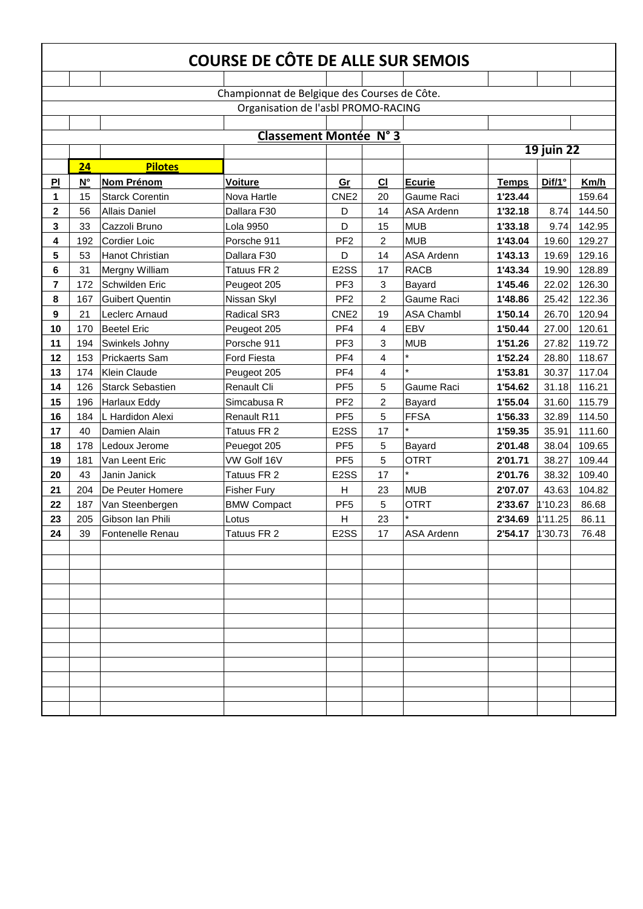| COURSE DE CÔTE DE ALLE SUR SEMOIS |                                              |                         |                                     |                   |                |                   |              |                   |        |  |  |  |
|-----------------------------------|----------------------------------------------|-------------------------|-------------------------------------|-------------------|----------------|-------------------|--------------|-------------------|--------|--|--|--|
|                                   |                                              |                         |                                     |                   |                |                   |              |                   |        |  |  |  |
|                                   | Championnat de Belgique des Courses de Côte. |                         |                                     |                   |                |                   |              |                   |        |  |  |  |
|                                   |                                              |                         | Organisation de l'asbl PROMO-RACING |                   |                |                   |              |                   |        |  |  |  |
|                                   |                                              |                         |                                     |                   |                |                   |              |                   |        |  |  |  |
|                                   |                                              |                         | <b>Classement Montée N° 3</b>       |                   |                |                   |              |                   |        |  |  |  |
|                                   |                                              |                         |                                     |                   |                |                   |              | <b>19 juin 22</b> |        |  |  |  |
|                                   | 24                                           | <b>Pilotes</b>          |                                     |                   |                |                   |              |                   |        |  |  |  |
| PI                                | $\mathsf{N}^\circ$                           | <b>Nom Prénom</b>       | <b>Voiture</b>                      | Gr                | CI             | Ecurie            | <b>Temps</b> | Diff/1°           | Km/h   |  |  |  |
| 1                                 | 15                                           | <b>Starck Corentin</b>  | Nova Hartle                         | CNE <sub>2</sub>  | 20             | Gaume Raci        | 1'23.44      |                   | 159.64 |  |  |  |
| $\overline{\mathbf{2}}$           | 56                                           | <b>Allais Daniel</b>    | Dallara F30                         | D                 | 14             | <b>ASA Ardenn</b> | 1'32.18      | 8.74              | 144.50 |  |  |  |
| 3                                 | 33                                           | Cazzoli Bruno           | Lola 9950                           | D                 | 15             | <b>MUB</b>        | 1'33.18      | 9.74              | 142.95 |  |  |  |
| 4                                 | 192                                          | <b>Cordier Loic</b>     | Porsche 911                         | PF <sub>2</sub>   | $\overline{2}$ | <b>MUB</b>        | 1'43.04      | 19.60             | 129.27 |  |  |  |
| 5                                 | 53                                           | <b>Hanot Christian</b>  | Dallara F30                         | D                 | 14             | <b>ASA Ardenn</b> | 1'43.13      | 19.69             | 129.16 |  |  |  |
| 6                                 | 31                                           | Mergny William          | Tatuus FR 2                         | E <sub>2</sub> SS | 17             | <b>RACB</b>       | 1'43.34      | 19.90             | 128.89 |  |  |  |
| 7                                 | 172                                          | Schwilden Eric          | Peugeot 205                         | PF <sub>3</sub>   | 3              | Bayard            | 1'45.46      | 22.02             | 126.30 |  |  |  |
| 8                                 | 167                                          | <b>Guibert Quentin</b>  | Nissan Skyl                         | PF <sub>2</sub>   | $\overline{2}$ | Gaume Raci        | 1'48.86      | 25.42             | 122.36 |  |  |  |
| 9                                 | 21                                           | Leclerc Arnaud          | Radical SR3                         | CNE <sub>2</sub>  | 19             | <b>ASA Chambl</b> | 1'50.14      | 26.70             | 120.94 |  |  |  |
| 10                                | 170                                          | <b>Beetel Eric</b>      | Peugeot 205                         | PF4               | 4              | EBV               | 1'50.44      | 27.00             | 120.61 |  |  |  |
| 11                                | 194                                          | Swinkels Johny          | Porsche 911                         | PF <sub>3</sub>   | 3              | <b>MUB</b>        | 1'51.26      | 27.82             | 119.72 |  |  |  |
| 12                                | 153                                          | <b>Prickaerts Sam</b>   | <b>Ford Fiesta</b>                  | PF4               | 4              |                   | 1'52.24      | 28.80             | 118.67 |  |  |  |
| 13                                | 174                                          | <b>Klein Claude</b>     | Peugeot 205                         | PF4               | $\overline{4}$ |                   | 1'53.81      | 30.37             | 117.04 |  |  |  |
| 14                                | 126                                          | <b>Starck Sebastien</b> | <b>Renault Cli</b>                  | PF <sub>5</sub>   | 5              | Gaume Raci        | 1'54.62      | 31.18             | 116.21 |  |  |  |
| 15                                | 196                                          | <b>Harlaux Eddy</b>     | Simcabusa R                         | PF <sub>2</sub>   | $\overline{2}$ | Bayard            | 1'55.04      | 31.60             | 115.79 |  |  |  |
| 16                                | 184                                          | L Hardidon Alexi        | Renault R11                         | PF <sub>5</sub>   | 5              | FFSA              | 1'56.33      | 32.89             | 114.50 |  |  |  |
| 17                                | 40                                           | Damien Alain            | Tatuus FR 2                         | E <sub>2</sub> SS | 17             |                   | 1'59.35      | 35.91             | 111.60 |  |  |  |
| 18                                | 178                                          | Ledoux Jerome           | Peuegot 205                         | PF <sub>5</sub>   | 5              | Bayard            | 2'01.48      | 38.04             | 109.65 |  |  |  |
| 19                                | 181                                          | Van Leent Eric          | VW Golf 16V                         | PF <sub>5</sub>   | 5              | <b>OTRT</b>       | 2'01.71      | 38.27             | 109.44 |  |  |  |
| 20                                | 43                                           | Janin Janick            | Tatuus FR 2                         | E <sub>2</sub> SS | 17             |                   | 2'01.76      | 38.32             | 109.40 |  |  |  |
| 21                                | 204                                          | De Peuter Homere        | <b>Fisher Fury</b>                  | H                 | 23             | <b>MUB</b>        | 2'07.07      | 43.63             | 104.82 |  |  |  |
| 22                                | 187                                          | Van Steenbergen         | <b>BMW Compact</b>                  | PF <sub>5</sub>   | 5              | <b>OTRT</b>       | 2'33.67      | 1'10.23           | 86.68  |  |  |  |
| 23                                | 205                                          | Gibson Ian Phili        | Lotus                               | H                 | 23             |                   | 2'34.69      | 1'11.25           | 86.11  |  |  |  |
| 24                                | 39                                           | Fontenelle Renau        | Tatuus FR 2                         | E2SS              | 17             | ASA Ardenn        | 2'54.17      | 1'30.73           | 76.48  |  |  |  |
|                                   |                                              |                         |                                     |                   |                |                   |              |                   |        |  |  |  |
|                                   |                                              |                         |                                     |                   |                |                   |              |                   |        |  |  |  |
|                                   |                                              |                         |                                     |                   |                |                   |              |                   |        |  |  |  |
|                                   |                                              |                         |                                     |                   |                |                   |              |                   |        |  |  |  |
|                                   |                                              |                         |                                     |                   |                |                   |              |                   |        |  |  |  |
|                                   |                                              |                         |                                     |                   |                |                   |              |                   |        |  |  |  |
|                                   |                                              |                         |                                     |                   |                |                   |              |                   |        |  |  |  |
|                                   |                                              |                         |                                     |                   |                |                   |              |                   |        |  |  |  |
|                                   |                                              |                         |                                     |                   |                |                   |              |                   |        |  |  |  |
|                                   |                                              |                         |                                     |                   |                |                   |              |                   |        |  |  |  |
|                                   |                                              |                         |                                     |                   |                |                   |              |                   |        |  |  |  |
|                                   |                                              |                         |                                     |                   |                |                   |              |                   |        |  |  |  |